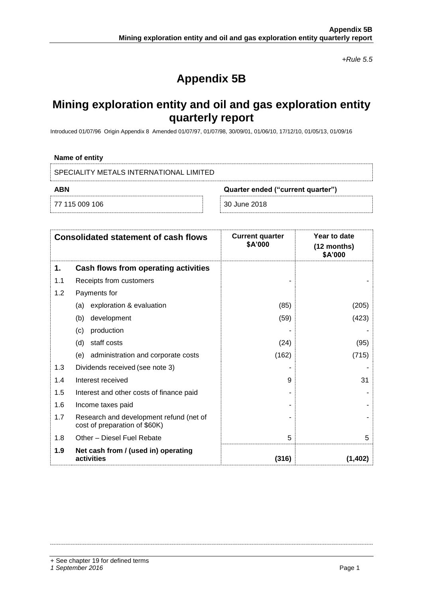*+Rule 5.5*

# **Appendix 5B**

## **Mining exploration entity and oil and gas exploration entity quarterly report**

Introduced 01/07/96 Origin Appendix 8 Amended 01/07/97, 01/07/98, 30/09/01, 01/06/10, 17/12/10, 01/05/13, 01/09/16

### **Name of entity**

SPECIALITY METALS INTERNATIONAL LIMITED

77 115 009 106 30 June 2018

**ABN Quarter ended ("current quarter")**

| <b>Consolidated statement of cash flows</b> |                                                                          | <b>Current quarter</b><br>\$A'000 | Year to date<br>$(12$ months)<br>\$A'000 |
|---------------------------------------------|--------------------------------------------------------------------------|-----------------------------------|------------------------------------------|
| 1.                                          | Cash flows from operating activities                                     |                                   |                                          |
| 1.1                                         | Receipts from customers                                                  |                                   |                                          |
| 1.2                                         | Payments for                                                             |                                   |                                          |
|                                             | exploration & evaluation<br>(a)                                          | (85)                              | (205)                                    |
|                                             | development<br>(b)                                                       | (59)                              | (423)                                    |
|                                             | production<br>(c)                                                        |                                   |                                          |
|                                             | staff costs<br>(d)                                                       | (24)                              | (95)                                     |
|                                             | administration and corporate costs<br>(e)                                | (162)                             | (715)                                    |
| 1.3                                         | Dividends received (see note 3)                                          |                                   |                                          |
| 1.4                                         | Interest received                                                        | 9                                 | 31                                       |
| 1.5                                         | Interest and other costs of finance paid                                 |                                   |                                          |
| 1.6                                         | Income taxes paid                                                        |                                   |                                          |
| 1.7                                         | Research and development refund (net of<br>cost of preparation of \$60K) |                                   |                                          |
| 1.8                                         | Other - Diesel Fuel Rebate                                               | 5                                 | 5                                        |
| 1.9                                         | Net cash from / (used in) operating<br>activities                        | (316)                             | (1, 402)                                 |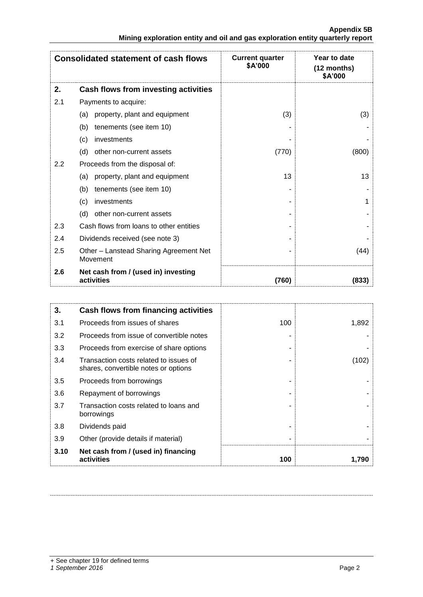|                                                                               | <b>Appendix 5B</b> |
|-------------------------------------------------------------------------------|--------------------|
| Mining exploration entity and oil and gas exploration entity quarterly report |                    |

| <b>Consolidated statement of cash flows</b> |                                                    | <b>Current quarter</b><br>\$A'000 | Year to date<br>(12 months)<br>\$A'000 |
|---------------------------------------------|----------------------------------------------------|-----------------------------------|----------------------------------------|
| 2.                                          | Cash flows from investing activities               |                                   |                                        |
| 2.1                                         | Payments to acquire:                               |                                   |                                        |
|                                             | property, plant and equipment<br>(a)               | (3)                               | (3)                                    |
|                                             | (b)<br>tenements (see item 10)                     |                                   |                                        |
|                                             | investments<br>(c)                                 |                                   |                                        |
|                                             | (d)<br>other non-current assets                    | (770)                             | (800)                                  |
| 2.2                                         | Proceeds from the disposal of:                     |                                   |                                        |
|                                             | property, plant and equipment<br>(a)               | 13                                | 13                                     |
|                                             | tenements (see item 10)<br>(b)                     |                                   |                                        |
|                                             | investments<br>(c)                                 |                                   | 1                                      |
|                                             | (d)<br>other non-current assets                    |                                   |                                        |
| 2.3                                         | Cash flows from loans to other entities            |                                   |                                        |
| 2.4                                         | Dividends received (see note 3)                    |                                   |                                        |
| 2.5                                         | Other - Lanstead Sharing Agreement Net<br>Movement |                                   | (44)                                   |
| 2.6                                         | Net cash from / (used in) investing<br>activities  | (760)                             | (833)                                  |

| 3.   | Cash flows from financing activities                                           |     |       |
|------|--------------------------------------------------------------------------------|-----|-------|
| 3.1  | Proceeds from issues of shares                                                 | 100 | 1,892 |
| 3.2  | Proceeds from issue of convertible notes                                       |     |       |
| 3.3  | Proceeds from exercise of share options                                        |     |       |
| 3.4  | Transaction costs related to issues of<br>shares, convertible notes or options |     | (102) |
| 3.5  | Proceeds from borrowings                                                       |     |       |
| 3.6  | Repayment of borrowings                                                        |     |       |
| 3.7  | Transaction costs related to loans and<br>borrowings                           |     |       |
| 3.8  | Dividends paid                                                                 |     |       |
| 3.9  | Other (provide details if material)                                            |     |       |
| 3.10 | Net cash from / (used in) financing<br>activities                              | 100 | 1.790 |

+ See chapter 19 for defined terms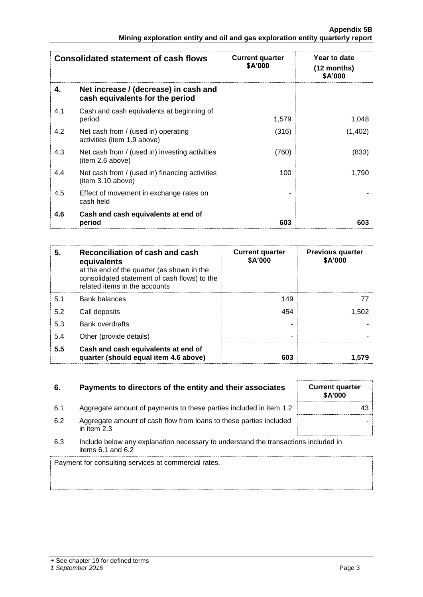| <b>Consolidated statement of cash flows</b> |                                                                          | <b>Current quarter</b><br>\$A'000 | Year to date<br>(12 months)<br>\$A'000 |  |
|---------------------------------------------|--------------------------------------------------------------------------|-----------------------------------|----------------------------------------|--|
| 4.                                          | Net increase / (decrease) in cash and<br>cash equivalents for the period |                                   |                                        |  |
| 4.1                                         | Cash and cash equivalents at beginning of<br>period                      | 1,579                             | 1,048                                  |  |
| 4.2                                         | Net cash from / (used in) operating<br>activities (item 1.9 above)       | (316)                             | (1,402)                                |  |
| 4.3                                         | Net cash from / (used in) investing activities<br>(item 2.6 above)       | (760)                             | (833)                                  |  |
| 4.4                                         | Net cash from / (used in) financing activities<br>(item 3.10 above)      | 100                               | 1,790                                  |  |
| 4.5                                         | Effect of movement in exchange rates on<br>cash held                     |                                   |                                        |  |
| 4.6                                         | Cash and cash equivalents at end of<br>period                            | 603                               | 603                                    |  |

| 5.  | Reconciliation of cash and cash<br>equivalents<br>at the end of the quarter (as shown in the<br>consolidated statement of cash flows) to the<br>related items in the accounts | <b>Current quarter</b><br>\$A'000 | <b>Previous quarter</b><br>\$A'000 |
|-----|-------------------------------------------------------------------------------------------------------------------------------------------------------------------------------|-----------------------------------|------------------------------------|
| 5.1 | <b>Bank balances</b>                                                                                                                                                          | 149                               |                                    |
| 5.2 | Call deposits                                                                                                                                                                 | 454                               | 1,502                              |
| 5.3 | Bank overdrafts                                                                                                                                                               |                                   |                                    |
| 5.4 | Other (provide details)                                                                                                                                                       |                                   |                                    |
| 5.5 | Cash and cash equivalents at end of<br>quarter (should equal item 4.6 above)                                                                                                  | 603                               | 1.579                              |

| 6.  | Payments to directors of the entity and their associates                                                    | <b>Current quarter</b><br>\$A'000 |
|-----|-------------------------------------------------------------------------------------------------------------|-----------------------------------|
| 6.1 | Aggregate amount of payments to these parties included in item 1.2                                          | 43                                |
| 6.2 | Aggregate amount of cash flow from loans to these parties included<br>in item $2.3$                         |                                   |
| 6.3 | Include below any explanation necessary to understand the transactions included in<br>items $6.1$ and $6.2$ |                                   |
|     | Payment for consulting services at commercial rates                                                         |                                   |

Payment for consulting services at commercial rates.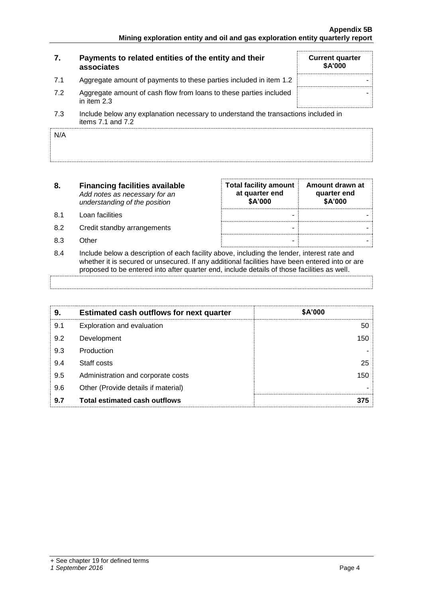| 7.  | Payments to related entities of the entity and their<br>associates                                          | <b>Current quarter</b><br>\$A'000 |
|-----|-------------------------------------------------------------------------------------------------------------|-----------------------------------|
| 7.1 | Aggregate amount of payments to these parties included in item 1.2                                          |                                   |
| 7.2 | Aggregate amount of cash flow from loans to these parties included<br>in item 2.3                           |                                   |
| 7.3 | Include below any explanation necessary to understand the transactions included in<br>items $7.1$ and $7.2$ |                                   |

| N/A |  |
|-----|--|
|     |  |
|     |  |

| 8.  | <b>Financing facilities available</b><br>Add notes as necessary for an<br>understanding of the position | <b>Total facility amount</b><br>at quarter end<br>\$A'000 | Amount drawn at<br>quarter end<br>\$A'000 |
|-----|---------------------------------------------------------------------------------------------------------|-----------------------------------------------------------|-------------------------------------------|
| 8.1 | Loan facilities                                                                                         | -                                                         |                                           |
| 8.2 | Credit standby arrangements                                                                             | -                                                         |                                           |
| 8.3 | Other                                                                                                   | -                                                         |                                           |
| 8.4 | Include below a description of each facility above, including the lender, interest rate and             |                                                           |                                           |

whether it is secured or unsecured. If any additional facilities have been entered into or are proposed to be entered into after quarter end, include details of those facilities as well.

| 9.  | <b>Estimated cash outflows for next quarter</b> | \$A'000 |
|-----|-------------------------------------------------|---------|
| 9.1 | Exploration and evaluation                      | 50      |
| 9.2 | Development                                     | 150     |
| 9.3 | Production                                      |         |
| 9.4 | Staff costs                                     | 25      |
| 9.5 | Administration and corporate costs              | 150     |
| 9.6 | Other (Provide details if material)             |         |
| 9.7 | <b>Total estimated cash outflows</b>            | 375     |